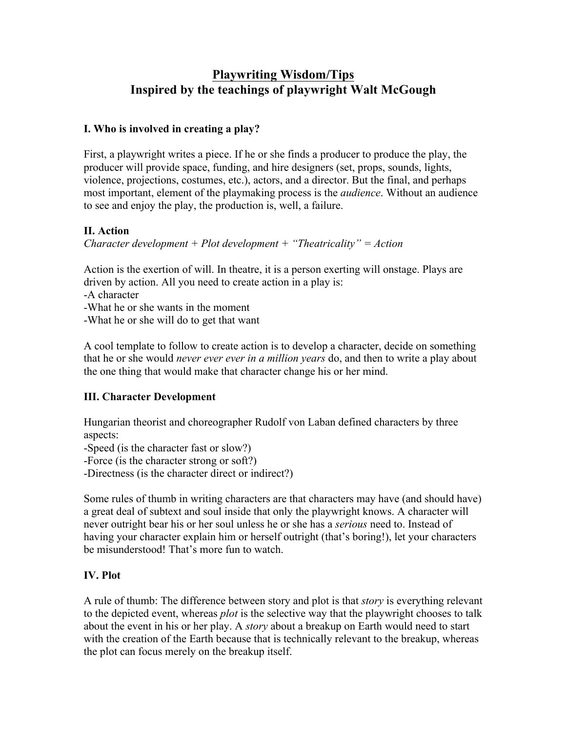# **Playwriting Wisdom/Tips Inspired by the teachings of playwright Walt McGough**

#### **I. Who is involved in creating a play?**

First, a playwright writes a piece. If he or she finds a producer to produce the play, the producer will provide space, funding, and hire designers (set, props, sounds, lights, violence, projections, costumes, etc.), actors, and a director. But the final, and perhaps most important, element of the playmaking process is the *audience*. Without an audience to see and enjoy the play, the production is, well, a failure.

#### **II. Action**

*Character development + Plot development + "Theatricality" = Action*

Action is the exertion of will. In theatre, it is a person exerting will onstage. Plays are driven by action. All you need to create action in a play is:

-A character

-What he or she wants in the moment

-What he or she will do to get that want

A cool template to follow to create action is to develop a character, decide on something that he or she would *never ever ever in a million years* do, and then to write a play about the one thing that would make that character change his or her mind.

### **III. Character Development**

Hungarian theorist and choreographer Rudolf von Laban defined characters by three aspects:

-Speed (is the character fast or slow?)

-Force (is the character strong or soft?)

-Directness (is the character direct or indirect?)

Some rules of thumb in writing characters are that characters may have (and should have) a great deal of subtext and soul inside that only the playwright knows. A character will never outright bear his or her soul unless he or she has a *serious* need to. Instead of having your character explain him or herself outright (that's boring!), let your characters be misunderstood! That's more fun to watch.

### **IV. Plot**

A rule of thumb: The difference between story and plot is that *story* is everything relevant to the depicted event, whereas *plot* is the selective way that the playwright chooses to talk about the event in his or her play. A *story* about a breakup on Earth would need to start with the creation of the Earth because that is technically relevant to the breakup, whereas the plot can focus merely on the breakup itself.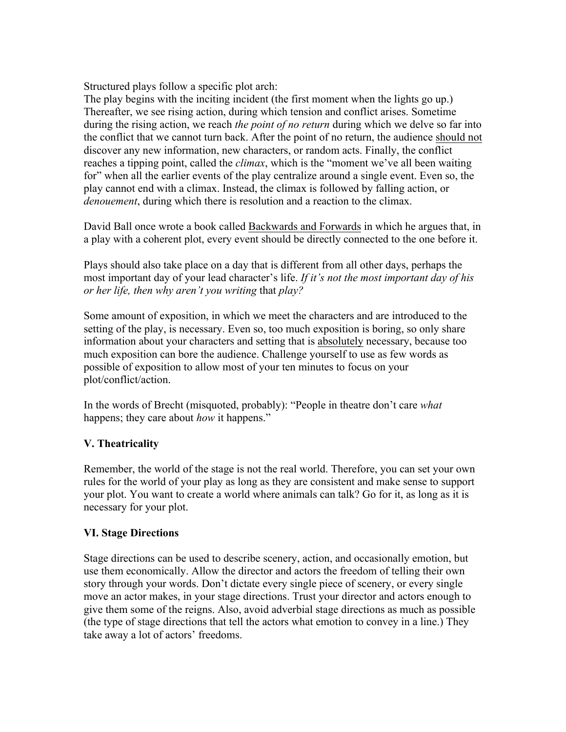Structured plays follow a specific plot arch:

The play begins with the inciting incident (the first moment when the lights go up.) Thereafter, we see rising action, during which tension and conflict arises. Sometime during the rising action, we reach *the point of no return* during which we delve so far into the conflict that we cannot turn back. After the point of no return, the audience should not discover any new information, new characters, or random acts. Finally, the conflict reaches a tipping point, called the *climax*, which is the "moment we've all been waiting for" when all the earlier events of the play centralize around a single event. Even so, the play cannot end with a climax. Instead, the climax is followed by falling action, or *denouement*, during which there is resolution and a reaction to the climax.

David Ball once wrote a book called Backwards and Forwards in which he argues that, in a play with a coherent plot, every event should be directly connected to the one before it.

Plays should also take place on a day that is different from all other days, perhaps the most important day of your lead character's life. *If it's not the most important day of his or her life, then why aren't you writing* that *play?*

Some amount of exposition, in which we meet the characters and are introduced to the setting of the play, is necessary. Even so, too much exposition is boring, so only share information about your characters and setting that is absolutely necessary, because too much exposition can bore the audience. Challenge yourself to use as few words as possible of exposition to allow most of your ten minutes to focus on your plot/conflict/action.

In the words of Brecht (misquoted, probably): "People in theatre don't care *what* happens; they care about *how* it happens."

### **V. Theatricality**

Remember, the world of the stage is not the real world. Therefore, you can set your own rules for the world of your play as long as they are consistent and make sense to support your plot. You want to create a world where animals can talk? Go for it, as long as it is necessary for your plot.

### **VI. Stage Directions**

Stage directions can be used to describe scenery, action, and occasionally emotion, but use them economically. Allow the director and actors the freedom of telling their own story through your words. Don't dictate every single piece of scenery, or every single move an actor makes, in your stage directions. Trust your director and actors enough to give them some of the reigns. Also, avoid adverbial stage directions as much as possible (the type of stage directions that tell the actors what emotion to convey in a line.) They take away a lot of actors' freedoms.